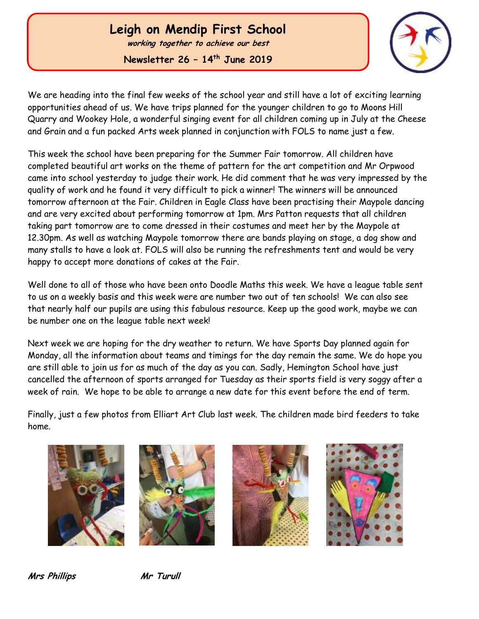# **Leigh on Mendip First School**

**working together to achieve our best**

**Newsletter 26 – 14th June 2019**



We are heading into the final few weeks of the school year and still have a lot of exciting learning opportunities ahead of us. We have trips planned for the younger children to go to Moons Hill Quarry and Wookey Hole, a wonderful singing event for all children coming up in July at the Cheese and Grain and a fun packed Arts week planned in conjunction with FOLS to name just a few.

This week the school have been preparing for the Summer Fair tomorrow. All children have completed beautiful art works on the theme of pattern for the art competition and Mr Orpwood came into school yesterday to judge their work. He did comment that he was very impressed by the quality of work and he found it very difficult to pick a winner! The winners will be announced tomorrow afternoon at the Fair. Children in Eagle Class have been practising their Maypole dancing and are very excited about performing tomorrow at 1pm. Mrs Patton requests that all children taking part tomorrow are to come dressed in their costumes and meet her by the Maypole at 12.30pm. As well as watching Maypole tomorrow there are bands playing on stage, a dog show and many stalls to have a look at. FOLS will also be running the refreshments tent and would be very happy to accept more donations of cakes at the Fair.

Well done to all of those who have been onto Doodle Maths this week. We have a league table sent to us on a weekly basis and this week were are number two out of ten schools! We can also see that nearly half our pupils are using this fabulous resource. Keep up the good work, maybe we can be number one on the league table next week!

Next week we are hoping for the dry weather to return. We have Sports Day planned again for Monday, all the information about teams and timings for the day remain the same. We do hope you are still able to join us for as much of the day as you can. Sadly, Hemington School have just cancelled the afternoon of sports arranged for Tuesday as their sports field is very soggy after a week of rain. We hope to be able to arrange a new date for this event before the end of term.

Finally, just a few photos from Elliart Art Club last week. The children made bird feeders to take home.









**Mrs Phillips Mr Turull**